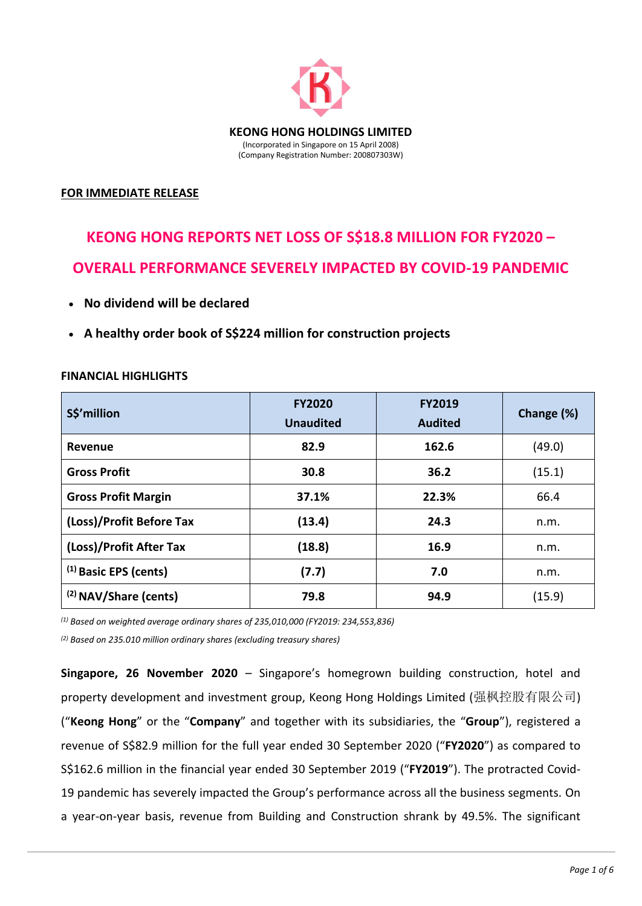

### **FOR IMMEDIATE RELEASE**

# **KEONG HONG REPORTS NET LOSS OF S\$18.8 MILLION FOR FY2020 – OVERALL PERFORMANCE SEVERELY IMPACTED BY COVID-19 PANDEMIC**

- **No dividend will be declared**
- **A healthy order book of S\$224 million for construction projects**

| S\$'million                      | <b>FY2020</b><br><b>Unaudited</b> | <b>FY2019</b><br><b>Audited</b> | Change (%) |
|----------------------------------|-----------------------------------|---------------------------------|------------|
| Revenue                          | 82.9                              | 162.6                           | (49.0)     |
| <b>Gross Profit</b>              | 30.8                              | 36.2                            | (15.1)     |
| <b>Gross Profit Margin</b>       | 37.1%                             | 22.3%                           | 66.4       |
| (Loss)/Profit Before Tax         | (13.4)                            | 24.3                            | n.m.       |
| (Loss)/Profit After Tax          | (18.8)                            | 16.9                            | n.m.       |
| $(1)$ Basic EPS (cents)          | (7.7)                             | 7.0                             | n.m.       |
| <sup>(2)</sup> NAV/Share (cents) | 79.8                              | 94.9                            | (15.9)     |

#### **FINANCIAL HIGHLIGHTS**

*(1) Based on weighted average ordinary shares of 235,010,000 (FY2019: 234,553,836)*

*(2) Based on 235.010 million ordinary shares (excluding treasury shares)*

**Singapore, 26 November 2020** – Singapore's homegrown building construction, hotel and property development and investment group, Keong Hong Holdings Limited (强枫控股有限公司) ("**Keong Hong**" or the "**Company**" and together with its subsidiaries, the "**Group**"), registered a revenue of S\$82.9 million for the full year ended 30 September 2020 ("**FY2020**") as compared to S\$162.6 million in the financial year ended 30 September 2019 ("**FY2019**"). The protracted Covid-19 pandemic has severely impacted the Group's performance across all the business segments. On a year-on-year basis, revenue from Building and Construction shrank by 49.5%. The significant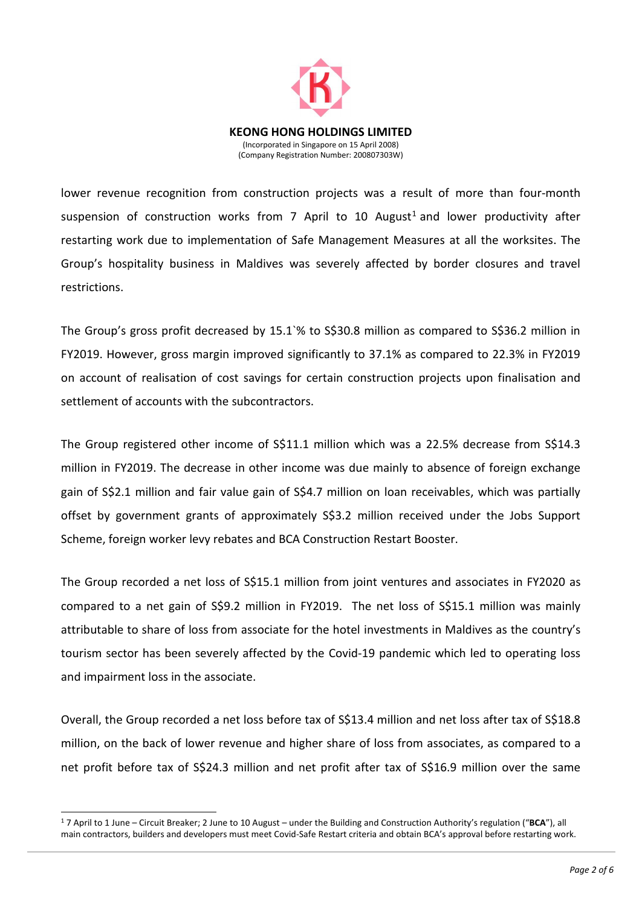

lower revenue recognition from construction projects was a result of more than four-month suspension of construction works from 7 April to 10 August<sup>1</sup> and lower productivity after restarting work due to implementation of Safe Management Measures at all the worksites. The Group's hospitality business in Maldives was severely affected by border closures and travel restrictions.

The Group's gross profit decreased by 15.1`% to S\$30.8 million as compared to S\$36.2 million in FY2019. However, gross margin improved significantly to 37.1% as compared to 22.3% in FY2019 on account of realisation of cost savings for certain construction projects upon finalisation and settlement of accounts with the subcontractors.

The Group registered other income of S\$11.1 million which was a 22.5% decrease from S\$14.3 million in FY2019. The decrease in other income was due mainly to absence of foreign exchange gain of S\$2.1 million and fair value gain of S\$4.7 million on loan receivables, which was partially offset by government grants of approximately S\$3.2 million received under the Jobs Support Scheme, foreign worker levy rebates and BCA Construction Restart Booster.

The Group recorded a net loss of S\$15.1 million from joint ventures and associates in FY2020 as compared to a net gain of S\$9.2 million in FY2019. The net loss of S\$15.1 million was mainly attributable to share of loss from associate for the hotel investments in Maldives as the country's tourism sector has been severely affected by the Covid-19 pandemic which led to operating loss and impairment loss in the associate.

Overall, the Group recorded a net loss before tax of S\$13.4 million and net loss after tax of S\$18.8 million, on the back of lower revenue and higher share of loss from associates, as compared to a net profit before tax of S\$24.3 million and net profit after tax of S\$16.9 million over the same

-

<sup>1</sup> 7 April to 1 June – Circuit Breaker; 2 June to 10 August – under the Building and Construction Authority's regulation ("**BCA**"), all main contractors, builders and developers must meet Covid-Safe Restart criteria and obtain BCA's approval before restarting work.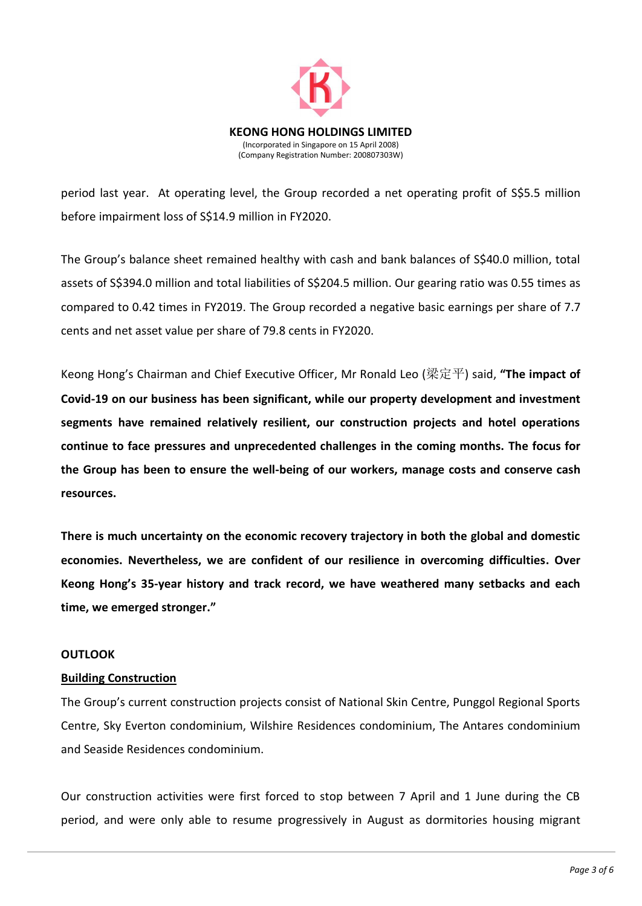

period last year. At operating level, the Group recorded a net operating profit of S\$5.5 million before impairment loss of S\$14.9 million in FY2020.

The Group's balance sheet remained healthy with cash and bank balances of S\$40.0 million, total assets of S\$394.0 million and total liabilities of S\$204.5 million. Our gearing ratio was 0.55 times as compared to 0.42 times in FY2019. The Group recorded a negative basic earnings per share of 7.7 cents and net asset value per share of 79.8 cents in FY2020.

Keong Hong's Chairman and Chief Executive Officer, Mr Ronald Leo (梁定平) said, **"The impact of Covid-19 on our business has been significant, while our property development and investment segments have remained relatively resilient, our construction projects and hotel operations continue to face pressures and unprecedented challenges in the coming months. The focus for the Group has been to ensure the well-being of our workers, manage costs and conserve cash resources.**

**There is much uncertainty on the economic recovery trajectory in both the global and domestic economies. Nevertheless, we are confident of our resilience in overcoming difficulties. Over Keong Hong's 35-year history and track record, we have weathered many setbacks and each time, we emerged stronger."** 

#### **OUTLOOK**

#### **Building Construction**

The Group's current construction projects consist of National Skin Centre, Punggol Regional Sports Centre, Sky Everton condominium, Wilshire Residences condominium, The Antares condominium and Seaside Residences condominium.

Our construction activities were first forced to stop between 7 April and 1 June during the CB period, and were only able to resume progressively in August as dormitories housing migrant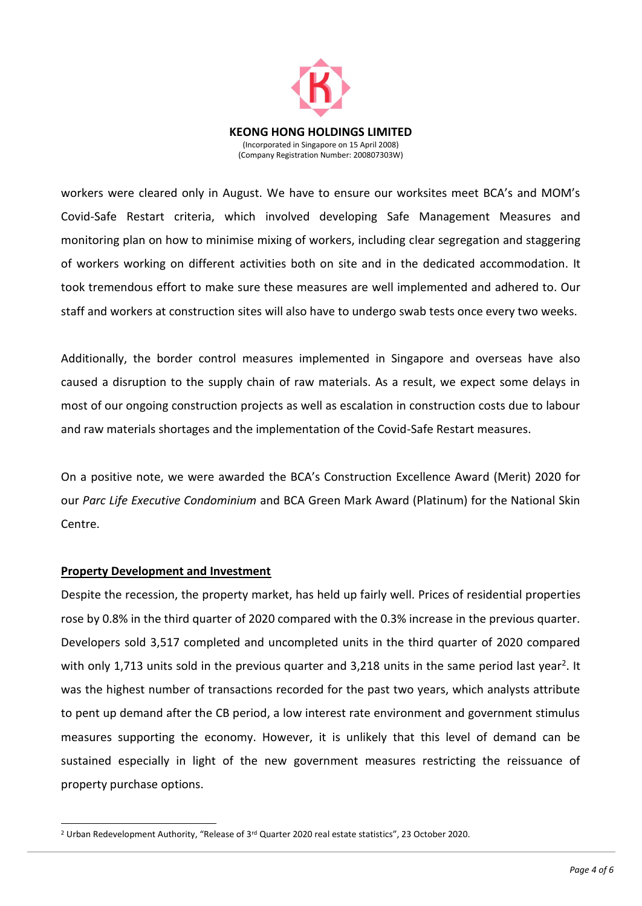

workers were cleared only in August. We have to ensure our worksites meet BCA's and MOM's Covid-Safe Restart criteria, which involved developing Safe Management Measures and monitoring plan on how to minimise mixing of workers, including clear segregation and staggering of workers working on different activities both on site and in the dedicated accommodation. It took tremendous effort to make sure these measures are well implemented and adhered to. Our staff and workers at construction sites will also have to undergo swab tests once every two weeks.

Additionally, the border control measures implemented in Singapore and overseas have also caused a disruption to the supply chain of raw materials. As a result, we expect some delays in most of our ongoing construction projects as well as escalation in construction costs due to labour and raw materials shortages and the implementation of the Covid-Safe Restart measures.

On a positive note, we were awarded the BCA's Construction Excellence Award (Merit) 2020 for our *Parc Life Executive Condominium* and BCA Green Mark Award (Platinum) for the National Skin Centre.

#### **Property Development and Investment**

-

Despite the recession, the property market, has held up fairly well. Prices of residential properties rose by 0.8% in the third quarter of 2020 compared with the 0.3% increase in the previous quarter. Developers sold 3,517 completed and uncompleted units in the third quarter of 2020 compared with only 1,713 units sold in the previous quarter and 3,218 units in the same period last year<sup>2</sup>. It was the highest number of transactions recorded for the past two years, which analysts attribute to pent up demand after the CB period, a low interest rate environment and government stimulus measures supporting the economy. However, it is unlikely that this level of demand can be sustained especially in light of the new government measures restricting the reissuance of property purchase options.

<sup>&</sup>lt;sup>2</sup> Urban Redevelopment Authority, "Release of  $3<sup>rd</sup>$  Quarter 2020 real estate statistics", 23 October 2020.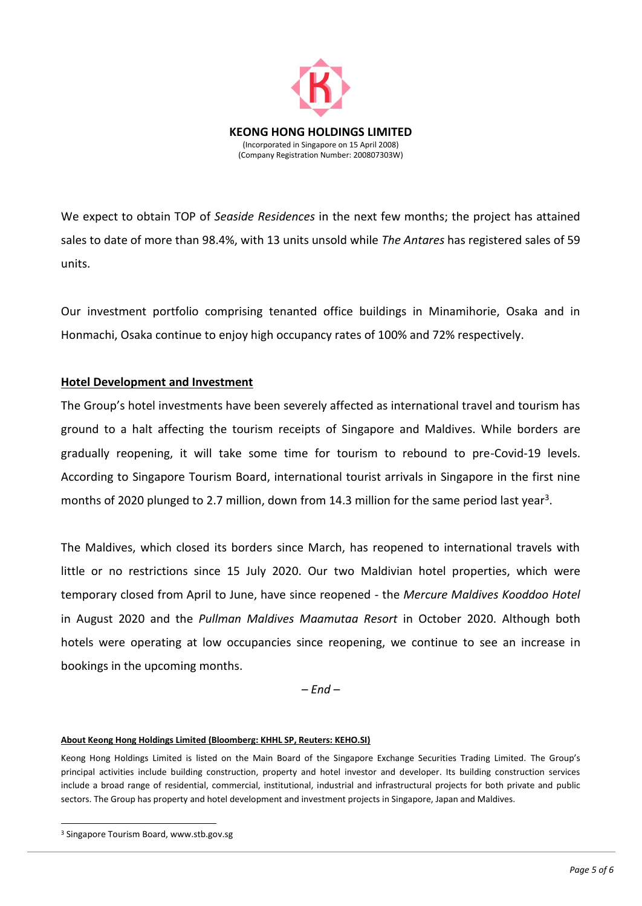

We expect to obtain TOP of *Seaside Residences* in the next few months; the project has attained sales to date of more than 98.4%, with 13 units unsold while *The Antares* has registered sales of 59 units.

Our investment portfolio comprising tenanted office buildings in Minamihorie, Osaka and in Honmachi, Osaka continue to enjoy high occupancy rates of 100% and 72% respectively.

## **Hotel Development and Investment**

The Group's hotel investments have been severely affected as international travel and tourism has ground to a halt affecting the tourism receipts of Singapore and Maldives. While borders are gradually reopening, it will take some time for tourism to rebound to pre-Covid-19 levels. According to Singapore Tourism Board, international tourist arrivals in Singapore in the first nine months of 2020 plunged to 2.7 million, down from 14.3 million for the same period last year<sup>3</sup>.

The Maldives, which closed its borders since March, has reopened to international travels with little or no restrictions since 15 July 2020. Our two Maldivian hotel properties, which were temporary closed from April to June, have since reopened - the *Mercure Maldives Kooddoo Hotel*  in August 2020 and the *Pullman Maldives Maamutaa Resort* in October 2020. Although both hotels were operating at low occupancies since reopening, we continue to see an increase in bookings in the upcoming months.

*– End –*

#### **About Keong Hong Holdings Limited (Bloomberg: KHHL SP, Reuters: KEHO.SI)**

Keong Hong Holdings Limited is listed on the Main Board of the Singapore Exchange Securities Trading Limited. The Group's principal activities include building construction, property and hotel investor and developer. Its building construction services include a broad range of residential, commercial, institutional, industrial and infrastructural projects for both private and public sectors. The Group has property and hotel development and investment projects in Singapore, Japan and Maldives.

-

<sup>3</sup> Singapore Tourism Board, www.stb.gov.sg